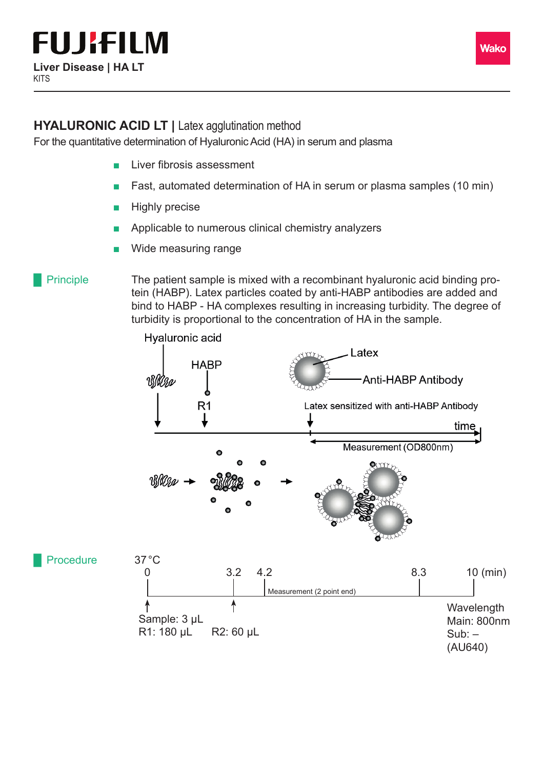## **HYALURONIC ACID LT | Latex agglutination method**

For the quantitative determination of Hyaluronic Acid (HA) in serum and plasma

- Liver fibrosis assessment
- Fast, automated determination of HA in serum or plasma samples (10 min)
- **Highly precise**
- Applicable to numerous clinical chemistry analyzers
- Wide measuring range

## **Principle**

The patient sample is mixed with a recombinant hyaluronic acid binding protein (HABP). Latex particles coated by anti-HABP antibodies are added and bind to HABP - HA complexes resulting in increasing turbidity. The degree of turbidity is proportional to the concentration of HA in the sample.